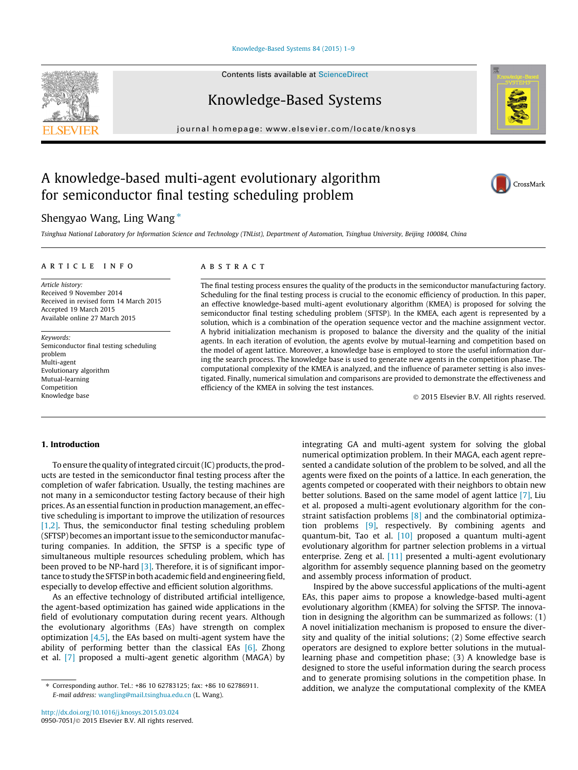#### [Knowledge-Based Systems 84 \(2015\) 1–9](http://dx.doi.org/10.1016/j.knosys.2015.03.024)

Contents lists available at [ScienceDirect](http://www.sciencedirect.com/science/journal/09507051)

## Knowledge-Based Systems

journal homepage: [www.elsevier.com/locate/knosys](http://www.elsevier.com/locate/knosys)

## A knowledge-based multi-agent evolutionary algorithm for semiconductor final testing scheduling problem

### Shengyao Wang, Ling Wang  $*$

Tsinghua National Laboratory for Information Science and Technology (TNList), Department of Automation, Tsinghua University, Beijing 100084, China

#### article info

Article history: Received 9 November 2014 Received in revised form 14 March 2015 Accepted 19 March 2015 Available online 27 March 2015

Keywords: Semiconductor final testing scheduling problem Multi-agent Evolutionary algorithm Mutual-learning Competition Knowledge base

#### ABSTRACT

The final testing process ensures the quality of the products in the semiconductor manufacturing factory. Scheduling for the final testing process is crucial to the economic efficiency of production. In this paper, an effective knowledge-based multi-agent evolutionary algorithm (KMEA) is proposed for solving the semiconductor final testing scheduling problem (SFTSP). In the KMEA, each agent is represented by a solution, which is a combination of the operation sequence vector and the machine assignment vector. A hybrid initialization mechanism is proposed to balance the diversity and the quality of the initial agents. In each iteration of evolution, the agents evolve by mutual-learning and competition based on the model of agent lattice. Moreover, a knowledge base is employed to store the useful information during the search process. The knowledge base is used to generate new agents in the competition phase. The computational complexity of the KMEA is analyzed, and the influence of parameter setting is also investigated. Finally, numerical simulation and comparisons are provided to demonstrate the effectiveness and efficiency of the KMEA in solving the test instances.

- 2015 Elsevier B.V. All rights reserved.

#### 1. Introduction

To ensure the quality of integrated circuit (IC) products, the products are tested in the semiconductor final testing process after the completion of wafer fabrication. Usually, the testing machines are not many in a semiconductor testing factory because of their high prices. As an essential function in production management, an effective scheduling is important to improve the utilization of resources [\[1,2\].](#page--1-0) Thus, the semiconductor final testing scheduling problem (SFTSP) becomes an important issue to the semiconductor manufacturing companies. In addition, the SFTSP is a specific type of simultaneous multiple resources scheduling problem, which has been proved to be NP-hard [\[3\]](#page--1-0). Therefore, it is of significant importance to study the SFTSP in both academic field and engineering field, especially to develop effective and efficient solution algorithms.

As an effective technology of distributed artificial intelligence, the agent-based optimization has gained wide applications in the field of evolutionary computation during recent years. Although the evolutionary algorithms (EAs) have strength on complex optimization  $[4,5]$ , the EAs based on multi-agent system have the ability of performing better than the classical EAs  $[6]$ . Zhong et al. [\[7\]](#page--1-0) proposed a multi-agent genetic algorithm (MAGA) by integrating GA and multi-agent system for solving the global numerical optimization problem. In their MAGA, each agent represented a candidate solution of the problem to be solved, and all the agents were fixed on the points of a lattice. In each generation, the agents competed or cooperated with their neighbors to obtain new better solutions. Based on the same model of agent lattice [\[7\],](#page--1-0) Liu et al. proposed a multi-agent evolutionary algorithm for the constraint satisfaction problems [\[8\]](#page--1-0) and the combinatorial optimization problems [\[9\],](#page--1-0) respectively. By combining agents and quantum-bit, Tao et al. [\[10\]](#page--1-0) proposed a quantum multi-agent evolutionary algorithm for partner selection problems in a virtual enterprise. Zeng et al. [\[11\]](#page--1-0) presented a multi-agent evolutionary algorithm for assembly sequence planning based on the geometry and assembly process information of product.

Inspired by the above successful applications of the multi-agent EAs, this paper aims to propose a knowledge-based multi-agent evolutionary algorithm (KMEA) for solving the SFTSP. The innovation in designing the algorithm can be summarized as follows: (1) A novel initialization mechanism is proposed to ensure the diversity and quality of the initial solutions; (2) Some effective search operators are designed to explore better solutions in the mutuallearning phase and competition phase; (3) A knowledge base is designed to store the useful information during the search process and to generate promising solutions in the competition phase. In addition, we analyze the computational complexity of the KMEA





<sup>⇑</sup> Corresponding author. Tel.: +86 10 62783125; fax: +86 10 62786911. E-mail address: [wangling@mail.tsinghua.edu.cn](mailto:wangling@mail.tsinghua.edu.cn) (L. Wang).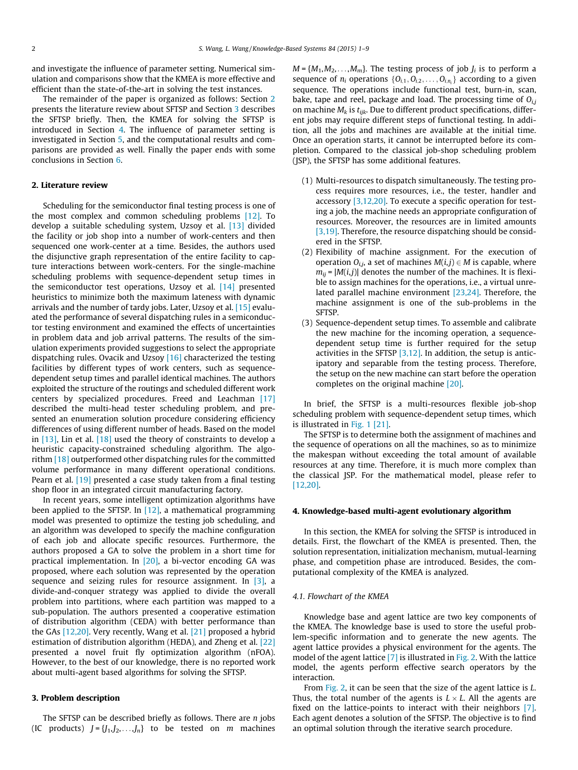and investigate the influence of parameter setting. Numerical simulation and comparisons show that the KMEA is more effective and efficient than the state-of-the-art in solving the test instances.

The remainder of the paper is organized as follows: Section 2 presents the literature review about SFTSP and Section 3 describes the SFTSP briefly. Then, the KMEA for solving the SFTSP is introduced in Section 4. The influence of parameter setting is investigated in Section [5](#page--1-0), and the computational results and comparisons are provided as well. Finally the paper ends with some conclusions in Section [6](#page--1-0).

#### 2. Literature review

Scheduling for the semiconductor final testing process is one of the most complex and common scheduling problems [\[12\].](#page--1-0) To develop a suitable scheduling system, Uzsoy et al. [\[13\]](#page--1-0) divided the facility or job shop into a number of work-centers and then sequenced one work-center at a time. Besides, the authors used the disjunctive graph representation of the entire facility to capture interactions between work-centers. For the single-machine scheduling problems with sequence-dependent setup times in the semiconductor test operations, Uzsoy et al. [\[14\]](#page--1-0) presented heuristics to minimize both the maximum lateness with dynamic arrivals and the number of tardy jobs. Later, Uzsoy et al. [\[15\]](#page--1-0) evaluated the performance of several dispatching rules in a semiconductor testing environment and examined the effects of uncertainties in problem data and job arrival patterns. The results of the simulation experiments provided suggestions to select the appropriate dispatching rules. Ovacik and Uzsoy  $[16]$  characterized the testing facilities by different types of work centers, such as sequencedependent setup times and parallel identical machines. The authors exploited the structure of the routings and scheduled different work centers by specialized procedures. Freed and Leachman [\[17\]](#page--1-0) described the multi-head tester scheduling problem, and presented an enumeration solution procedure considering efficiency differences of using different number of heads. Based on the model in [\[13\],](#page--1-0) Lin et al. [\[18\]](#page--1-0) used the theory of constraints to develop a heuristic capacity-constrained scheduling algorithm. The algorithm [\[18\]](#page--1-0) outperformed other dispatching rules for the committed volume performance in many different operational conditions. Pearn et al. [\[19\]](#page--1-0) presented a case study taken from a final testing shop floor in an integrated circuit manufacturing factory.

In recent years, some intelligent optimization algorithms have been applied to the SFTSP. In  $[12]$ , a mathematical programming model was presented to optimize the testing job scheduling, and an algorithm was developed to specify the machine configuration of each job and allocate specific resources. Furthermore, the authors proposed a GA to solve the problem in a short time for practical implementation. In  $[20]$ , a bi-vector encoding GA was proposed, where each solution was represented by the operation sequence and seizing rules for resource assignment. In  $[3]$ , a divide-and-conquer strategy was applied to divide the overall problem into partitions, where each partition was mapped to a sub-population. The authors presented a cooperative estimation of distribution algorithm (CEDA) with better performance than the GAs [\[12,20\].](#page--1-0) Very recently, Wang et al. [\[21\]](#page--1-0) proposed a hybrid estimation of distribution algorithm (HEDA), and Zheng et al. [\[22\]](#page--1-0) presented a novel fruit fly optimization algorithm (nFOA). However, to the best of our knowledge, there is no reported work about multi-agent based algorithms for solving the SFTSP.

#### 3. Problem description

The SFTSP can be described briefly as follows. There are  $n$  jobs (IC products)  $J = \{J_1, J_2, \ldots, J_n\}$  to be tested on *m* machines  $M = \{M_1, M_2, \ldots, M_m\}$ . The testing process of job  $J_i$  is to perform a sequence of  $n_i$  operations  $\{O_{i,1}, O_{i,2}, \ldots, O_{i,n_i}\}\$  according to a given sequence. The operations include functional test, burn-in, scan, bake, tape and reel, package and load. The processing time of  $Q_{ij}$ on machine  $M_k$  is  $t_{ijk}$ . Due to different product specifications, different jobs may require different steps of functional testing. In addition, all the jobs and machines are available at the initial time. Once an operation starts, it cannot be interrupted before its completion. Compared to the classical job-shop scheduling problem (JSP), the SFTSP has some additional features.

- (1) Multi-resources to dispatch simultaneously. The testing process requires more resources, i.e., the tester, handler and accessory [\[3,12,20\].](#page--1-0) To execute a specific operation for testing a job, the machine needs an appropriate configuration of resources. Moreover, the resources are in limited amounts [\[3,19\].](#page--1-0) Therefore, the resource dispatching should be considered in the SFTSP.
- (2) Flexibility of machine assignment. For the execution of operation  $O_{i,j}$ , a set of machines  $M(i,j) \in M$  is capable, where  $m_{ii}$  =  $|M(i,j)|$  denotes the number of the machines. It is flexible to assign machines for the operations, i.e., a virtual unrelated parallel machine environment [\[23,24\].](#page--1-0) Therefore, the machine assignment is one of the sub-problems in the SFTSP.
- (3) Sequence-dependent setup times. To assemble and calibrate the new machine for the incoming operation, a sequencedependent setup time is further required for the setup activities in the SFTSP  $[3,12]$ . In addition, the setup is anticipatory and separable from the testing process. Therefore, the setup on the new machine can start before the operation completes on the original machine [\[20\].](#page--1-0)

In brief, the SFTSP is a multi-resources flexible job-shop scheduling problem with sequence-dependent setup times, which is illustrated in [Fig. 1 \[21\].](#page--1-0)

The SFTSP is to determine both the assignment of machines and the sequence of operations on all the machines, so as to minimize the makespan without exceeding the total amount of available resources at any time. Therefore, it is much more complex than the classical JSP. For the mathematical model, please refer to [\[12,20\]](#page--1-0).

#### 4. Knowledge-based multi-agent evolutionary algorithm

In this section, the KMEA for solving the SFTSP is introduced in details. First, the flowchart of the KMEA is presented. Then, the solution representation, initialization mechanism, mutual-learning phase, and competition phase are introduced. Besides, the computational complexity of the KMEA is analyzed.

#### 4.1. Flowchart of the KMEA

Knowledge base and agent lattice are two key components of the KMEA. The knowledge base is used to store the useful problem-specific information and to generate the new agents. The agent lattice provides a physical environment for the agents. The model of the agent lattice [\[7\]](#page--1-0) is illustrated in [Fig. 2](#page--1-0). With the lattice model, the agents perform effective search operators by the interaction.

From [Fig. 2,](#page--1-0) it can be seen that the size of the agent lattice is L. Thus, the total number of the agents is  $L \times L$ . All the agents are fixed on the lattice-points to interact with their neighbors [\[7\].](#page--1-0) Each agent denotes a solution of the SFTSP. The objective is to find an optimal solution through the iterative search procedure.